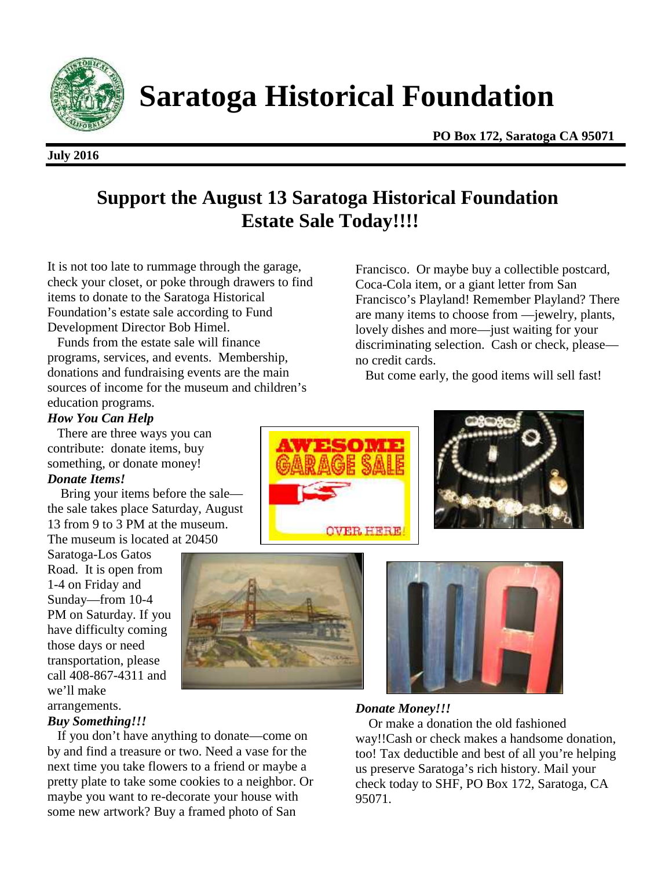

**Saratoga Historical Foundation**

#### **July 2016**

**PO Box 172, Saratoga CA 95071**

# **Support the August 13 Saratoga Historical Foundation Estate Sale Today!!!!**

It is not too late to rummage through the garage, check your closet, or poke through drawers to find items to donate to the Saratoga Historical Foundation's estate sale according to Fund Development Director Bob Himel.

Funds from the estate sale will finance programs, services, and events. Membership, donations and fundraising events are the main sources of income for the museum and children's education programs.

# Francisco. Or maybe buy a collectible postcard, Coca-Cola item, or a giant letter from San Francisco's Playland! Remember Playland? There are many items to choose from —jewelry, plants, lovely dishes and more—just waiting for your discriminating selection. Cash or check, please reship, no credit cards.

But come early, the good items will sell fast!

# *How You Can Help*

There are three ways you can contribute: donate items, buy something, or donate money!

## *Donate Items!*

Bring your items before the sale the sale takes place Saturday, August 13 from 9 to 3 PM at the museum. The museum is located at 20450

Saratoga-Los Gatos Road. It is open from 1-4 on Friday and Sunday—from 10-4 PM on Saturday. If you have difficulty coming those days or need transportation, please call 408-867-4311 and we'll make arrangements.

#### *Buy Something!!!*

If you don't have anything to donate—come on by and find a treasure or two. Need a vase for the next time you take flowers to a friend or maybe a pretty plate to take some cookies to a neighbor. Or maybe you want to re-decorate your house with some new artwork? Buy a framed photo of San









# *Donate Money!!!*

Or make a donation the old fashioned way!!Cash or check makes a handsome donation, too! Tax deductible and best of all you're helping us preserve Saratoga's rich history. Mail your check today to SHF, PO Box 172, Saratoga, CA 95071.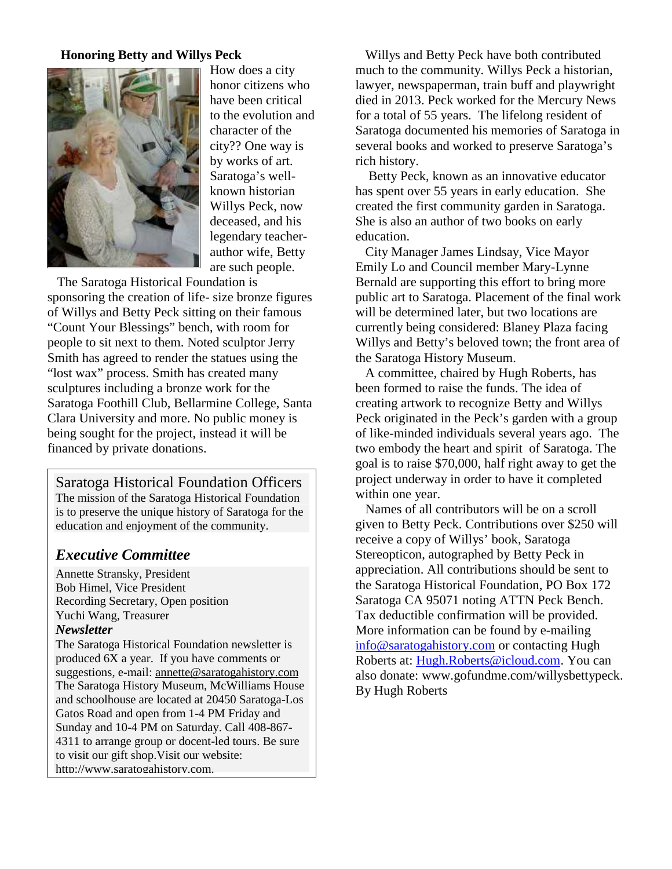## **Honoring Betty and Willys Peck**



How does a city honor citizens who have been critical to the evolution and character of the city?? One way is by works of art. Saratoga's well known historian Willys Peck, now deceased, and his legendary teacher author wife, Betty are such people.

The Saratoga Historical Foundation is sponsoring the creation of life- size bronze figures of Willys and Betty Peck sitting on their famous "Count Your Blessings" bench, with room for people to sit next to them. Noted sculptor Jerry Smith has agreed to render the statues using the "lost wax" process. Smith has created many sculptures including a bronze work for the Saratoga Foothill Club, Bellarmine College, Santa Clara University and more. No public money is being sought for the project, instead it will be financed by private donations.

Saratoga Historical Foundation Officers The mission of the Saratoga Historical Foundation is to preserve the unique history of Saratoga for the education and enjoyment of the community.

# *Executive Committee*

Annette Stransky, President Bob Himel, Vice President Recording Secretary, Open position Yuchi Wang, Treasurer

#### *Newsletter*

The Saratoga Historical Foundation newsletter is produced 6X a year. If you have comments or suggestions, e-mail: annette@saratogahistory.com The Saratoga History Museum, McWilliams House and schoolhouse are located at 20450 Saratoga-Los Gatos Road and open from 1-4 PM Friday and Sunday and 10-4 PM on Saturday. Call 408-867- 4311 to arrange group or docent-led tours. Be sure to visit our gift shop.Visit our website: http://www.saratogahistory.com.

Willys and Betty Peck have both contributed much to the community. Willys Peck a historian, lawyer, newspaperman, train buff and playwright died in 2013. Peck worked for the Mercury News for a total of 55 years. The lifelong resident of Saratoga documented his memories of Saratoga in several books and worked to preserve Saratoga's rich history.

Betty Peck, known as an innovative educator has spent over 55 years in early education. She created the first community garden in Saratoga. She is also an author of two books on early education.

City Manager James Lindsay, Vice Mayor Emily Lo and Council member Mary-Lynne Bernald are supporting this effort to bring more public art to Saratoga. Placement of the final work will be determined later, but two locations are currently being considered: Blaney Plaza facing Willys and Betty's beloved town; the front area of the Saratoga History Museum.

A committee, chaired by Hugh Roberts, has been formed to raise the funds. The idea of creating artwork to recognize Betty and Willys Peck originated in the Peck's garden with a group of like-minded individuals several years ago. The two embody the heart and spirit of Saratoga. The goal is to raise \$70,000, half right away to get the project underway in order to have it completed within one year.

Names of all contributors will be on a scroll given to Betty Peck. Contributions over \$250 will receive a copy of Willys' book, Saratoga Stereopticon, autographed by Betty Peck in appreciation. All contributions should be sent to the Saratoga Historical Foundation, PO Box 172 Saratoga CA 95071 noting ATTN Peck Bench. Tax deductible confirmation will be provided. More information can be found by e-mailing info@saratogahistory.com or contacting Hugh Roberts at: Hugh.Roberts@icloud.com. You can also donate: www.gofundme.com/willysbettypeck. By Hugh Roberts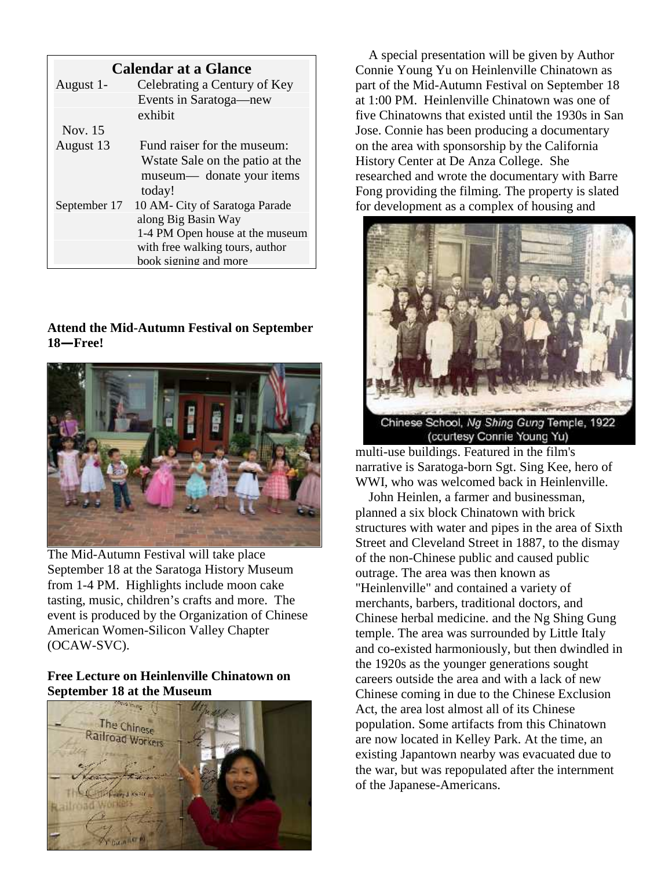| <b>Calendar at a Glance</b> |                                  | Con    |
|-----------------------------|----------------------------------|--------|
| August 1-                   | Celebrating a Century of Key     | part   |
|                             | Events in Saratoga—new           | at $1$ |
|                             | exhibit                          | five   |
| Nov. 15                     |                                  | Jose   |
| August 13                   | Fund raiser for the museum:      | on t   |
|                             | W state Sale on the patio at the | Hist   |
|                             | museum— donate your items        | rese   |
|                             | today!                           | Fon    |
| September 17                | 10 AM- City of Saratoga Parade   | for o  |
|                             | along Big Basin Way              |        |
|                             | 1-4 PM Open house at the museum  |        |
|                             | with free walking tours, author  |        |
|                             | book signing and more            |        |

# **Attend the Mid-Autumn Festival on September 18—Free!**



The Mid-Autumn Festival will take place September 18 at the Saratoga History Museum from 1-4 PM. Highlights include moon cake tasting, music, children's crafts and more. The event is produced by the Organization of Chinese American Women-Silicon Valley Chapter (OCAW-SVC).

# **Free Lecture on Heinlenville Chinatown on September 18 at the Museum**



A special presentation will be given by Author Connie Young Yu on Heinlenville Chinatown as part of the Mid-Autumn Festival on September 18 at 1:00 PM. Heinlenville Chinatown was one of five Chinatowns that existed until the 1930s in San Jose. Connie has been producing a documentary on the area with sponsorship by the California History Center at De Anza College. She researched and wrote the documentary with Barre Fong providing the filming. The property is slated for development as a complex of housing and



(courtesy Connie Young Yu)

multi-use buildings. Featured in the film's narrative is Saratoga-born Sgt. Sing Kee, hero of WWI, who was welcomed back in Heinlenville.

John Heinlen, a farmer and businessman, planned a six block Chinatown with brick structures with water and pipes in the area of Sixth Street and Cleveland Street in 1887, to the dismay of the non-Chinese public and caused public outrage. The area was then known as "Heinlenville" and contained a variety of merchants, barbers, traditional doctors, and Chinese herbal medicine. and the Ng Shing Gung temple. The area was surrounded by Little Italy and co-existed harmoniously, but then dwindled in the 1920s as the younger generations sought careers outside the area and with a lack of new Chinese coming in due to the Chinese Exclusion Act, the area lost almost all of its Chinese population. Some artifacts from this Chinatown are now located in Kelley Park. At the time, an existing Japantown nearby was evacuated due to the war, but was repopulated after the internment of the Japanese-Americans.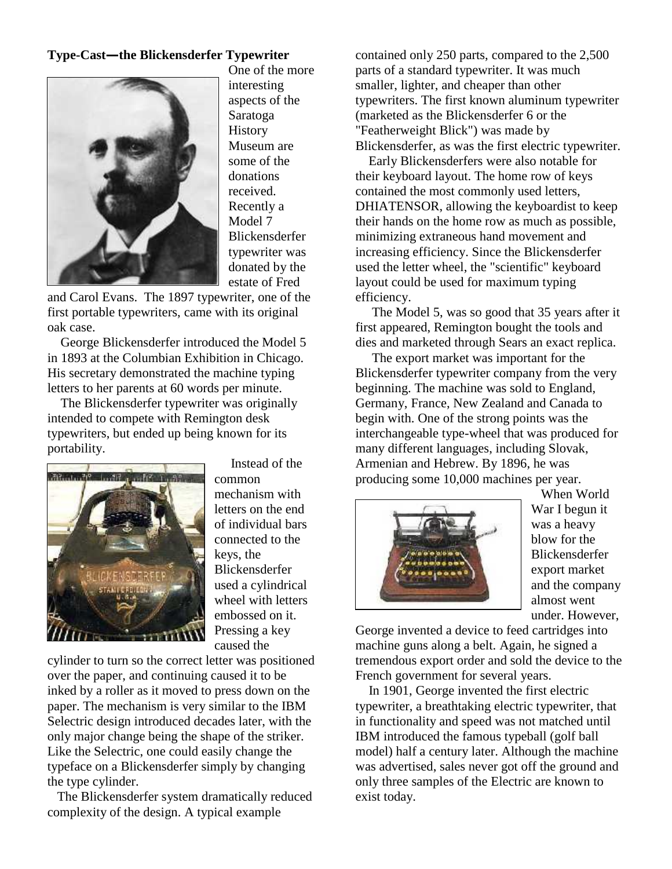# **Type-Cast—the Blickensderfer Typewriter**



One of the more interesting aspects of the Saratoga **History** Museum are some of the donations received. Recently a Model 7 Blickensderfer typewriter was donated by the estate of Fred

and Carol Evans. The 1897 typewriter, one of the first portable typewriters, came with its original oak case.

George Blickensderfer introduced the Model 5 in 1893 at the Columbian Exhibition in Chicago. His secretary demonstrated the machine typing letters to her parents at 60 words per minute.

The Blickensderfer typewriter was originally intended to compete with Remington desk typewriters, but ended up being known for its portability.



Instead of the common mechanism with letters on the end of individual bars connected to the keys, the Blickensderfer used a cylindrical wheel with letters embossed on it. Pressing a key caused the

cylinder to turn so the correct letter was positioned over the paper, and continuing caused it to be inked by a roller as it moved to press down on the paper. The mechanism is very similar to the IBM Selectric design introduced decades later, with the only major change being the shape of the striker. Like the Selectric, one could easily change the typeface on a Blickensderfer simply by changing the type cylinder.

The Blickensderfer system dramatically reduced complexity of the design. A typical example

contained only 250 parts, compared to the 2,500 parts of a standard typewriter. It was much smaller, lighter, and cheaper than other typewriters. The first known aluminum typewriter (marketed as the Blickensderfer 6 or the "Featherweight Blick") was made by Blickensderfer, as was the first electric typewriter.

Early Blickensderfers were also notable for their keyboard layout. The home row of keys contained the most commonly used letters, DHIATENSOR, allowing the keyboardist to keep their hands on the home row as much as possible, minimizing extraneous hand movement and increasing efficiency. Since the Blickensderfer used the letter wheel, the "scientific" keyboard layout could be used for maximum typing efficiency.

The Model 5, was so good that 35 years after it first appeared, Remington bought the tools and dies and marketed through Sears an exact replica.

The export market was important for the Blickensderfer typewriter company from the very beginning. The machine was sold to England, Germany, France, New Zealand and Canada to begin with. One of the strong points was the interchangeable type-wheel that was produced for many different languages, including Slovak, Armenian and Hebrew. By 1896, he was producing some 10,000 machines per year.



When World War I begun it was a heavy blow for the Blickensderfer export market and the company almost went under. However,

George invented a device to feed cartridges into machine guns along a belt. Again, he signed a tremendous export order and sold the device to the French government for several years.

In 1901, George invented the first electric typewriter, a breathtaking electric typewriter, that in functionality and speed was not matched until IBM introduced the famous typeball (golf ball model) half a century later. Although the machine was advertised, sales never got off the ground and only three samples of the Electric are known to exist today.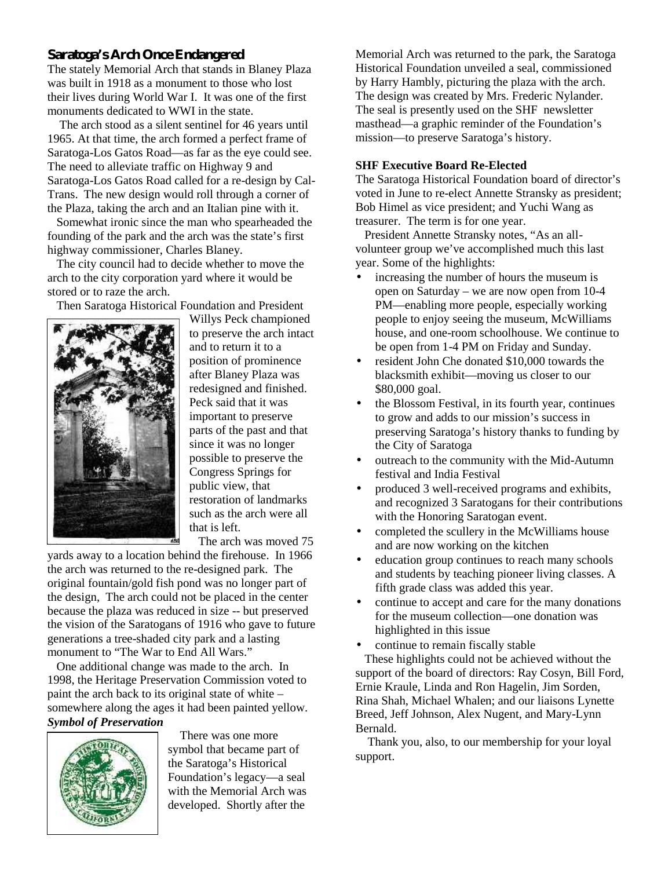# **Saratoga's Arch Once Endangered**

The stately Memorial Arch that stands in Blaney Plaza was built in 1918 as a monument to those who lost their lives during World War I. It was one of the first monuments dedicated to WWI in the state.

The arch stood as a silent sentinel for 46 years until 1965. At that time, the arch formed a perfect frame of Saratoga-Los Gatos Road—as far as the eye could see. The need to alleviate traffic on Highway 9 and Saratoga-Los Gatos Road called for a re-design by Cal- Trans. The new design would roll through a corner of the Plaza, taking the arch and an Italian pine with it.

Somewhat ironic since the man who spearheaded the founding of the park and the arch was the state's first highway commissioner, Charles Blaney.

The city council had to decide whether to move the arch to the city corporation yard where it would be stored or to raze the arch.

Then Saratoga Historical Foundation and President



Willys Peck championed to preserve the arch intact and to return it to a position of prominence after Blaney Plaza was redesigned and finished. Peck said that it was important to preserve parts of the past and that since it was no longer possible to preserve the Congress Springs for public view, that restoration of landmarks such as the arch were all that is left.

The arch was moved 75

yards away to a location behind the firehouse. In 1966 the arch was returned to the re-designed park. The original fountain/gold fish pond was no longer part of the design, The arch could not be placed in the center because the plaza was reduced in size -- but preserved the vision of the Saratogans of 1916 who gave to future generations a tree-shaded city park and a lasting monument to "The War to End All Wars."

One additional change was made to the arch. In 1998, the Heritage Preservation Commission voted to paint the arch back to its original state of white – somewhere along the ages it had been painted yellow. *Symbol of Preservation*



There was one more symbol that became part of the Saratoga's Historical Foundation's legacy—a seal with the Memorial Arch was developed. Shortly after the

Memorial Arch was returned to the park, the Saratoga Historical Foundation unveiled a seal, commissioned by Harry Hambly, picturing the plaza with the arch. The design was created by Mrs. Frederic Nylander. The seal is presently used on the SHF newsletter masthead—a graphic reminder of the Foundation's mission—to preserve Saratoga's history.

## **SHF Executive Board Re-Elected**

The Saratoga Historical Foundation board of director's voted in June to re-elect Annette Stransky as president; Bob Himel as vice president; and Yuchi Wang as treasurer. The term is for one year.

President Annette Stransky notes, "As an all volunteer group we've accomplished much this last year. Some of the highlights:

- increasing the number of hours the museum is open on Saturday – we are now open from 10-4 PM—enabling more people, especially working people to enjoy seeing the museum, McWilliams house, and one-room schoolhouse. We continue to be open from 1-4 PM on Friday and Sunday.
- resident John Che donated \$10,000 towards the blacksmith exhibit—moving us closer to our \$80,000 goal.
- the Blossom Festival, in its fourth year, continues to grow and adds to our mission's success in preserving Saratoga's history thanks to funding by the City of Saratoga
- outreach to the community with the Mid-Autumn festival and India Festival
- produced 3 well-received programs and exhibits, and recognized 3 Saratogans for their contributions with the Honoring Saratogan event.
- completed the scullery in the McWilliams house and are now working on the kitchen
- education group continues to reach many schools and students by teaching pioneer living classes. A fifth grade class was added this year.
- continue to accept and care for the many donations for the museum collection—one donation was highlighted in this issue

continue to remain fiscally stable

These highlights could not be achieved without the support of the board of directors: Ray Cosyn, Bill Ford, Ernie Kraule, Linda and Ron Hagelin, Jim Sorden, Rina Shah, Michael Whalen; and our liaisons Lynette Breed, Jeff Johnson, Alex Nugent, and Mary-Lynn Bernald.

Thank you, also, to our membership for your loyal support.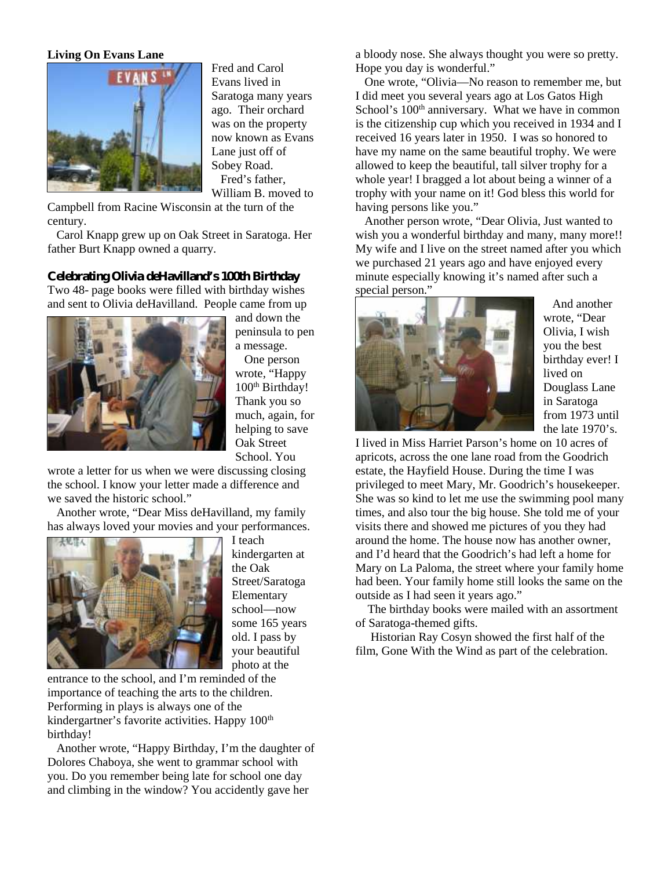#### **Living On Evans Lane**



Fred and Carol Evans lived in Saratoga many years ago. Their orchard was on the property now known as Evans Lane just off of Sobey Road. Fred's father,

William B. moved to

Campbell from Racine Wisconsin at the turn of the century.

Carol Knapp grew up on Oak Street in Saratoga. Her father Burt Knapp owned a quarry.

#### **Celebrating Olivia deHavilland's 100th Birthday**

Two 48- page books were filled with birthday wishes and sent to Olivia deHavilland. People came from up



and down the peninsula to pen a message.

One person wrote, "Happy 100<sup>th</sup> Birthday! Thank you so much, again, for helping to save Oak Street School. You

wrote a letter for us when we were discussing closing the school. I know your letter made a difference and we saved the historic school."

Another wrote, "Dear Miss deHavilland, my family has always loved your movies and your performances.



I teach kindergarten at the Oak Street/Saratoga Elementary school—now some 165 years old. I pass by your beautiful photo at the

entrance to the school, and I'm reminded of the importance of teaching the arts to the children. Performing in plays is always one of the kindergartner's favorite activities. Happy 100<sup>th</sup> birthday!

Another wrote, "Happy Birthday, I'm the daughter of Dolores Chaboya, she went to grammar school with you. Do you remember being late for school one day and climbing in the window? You accidently gave her

a bloody nose. She always thought you were so pretty. Hope you day is wonderful."

One wrote, "Olivia—No reason to remember me, but I did meet you several years ago at Los Gatos High School's 100<sup>th</sup> anniversary. What we have in common is the citizenship cup which you received in 1934 and I received 16 years later in 1950. I was so honored to have my name on the same beautiful trophy. We were allowed to keep the beautiful, tall silver trophy for a whole year! I bragged a lot about being a winner of a trophy with your name on it! God bless this world for having persons like you."

Another person wrote, "Dear Olivia, Just wanted to wish you a wonderful birthday and many, many more!! My wife and I live on the street named after you which we purchased 21 years ago and have enjoyed every minute especially knowing it's named after such a special person."



And another wrote, "Dear Olivia, I wish you the best birthday ever! I lived on Douglass Lane in Saratoga from 1973 until the late 1970's.

I lived in Miss Harriet Parson's home on 10 acres of apricots, across the one lane road from the Goodrich estate, the Hayfield House. During the time I was privileged to meet Mary, Mr. Goodrich's housekeeper. She was so kind to let me use the swimming pool many times, and also tour the big house. She told me of your visits there and showed me pictures of you they had around the home. The house now has another owner, and I'd heard that the Goodrich's had left a home for Mary on La Paloma, the street where your family home had been. Your family home still looks the same on the outside as I had seen it years ago."

The birthday books were mailed with an assortment of Saratoga-themed gifts.

Historian Ray Cosyn showed the first half of the film, Gone With the Wind as part of the celebration.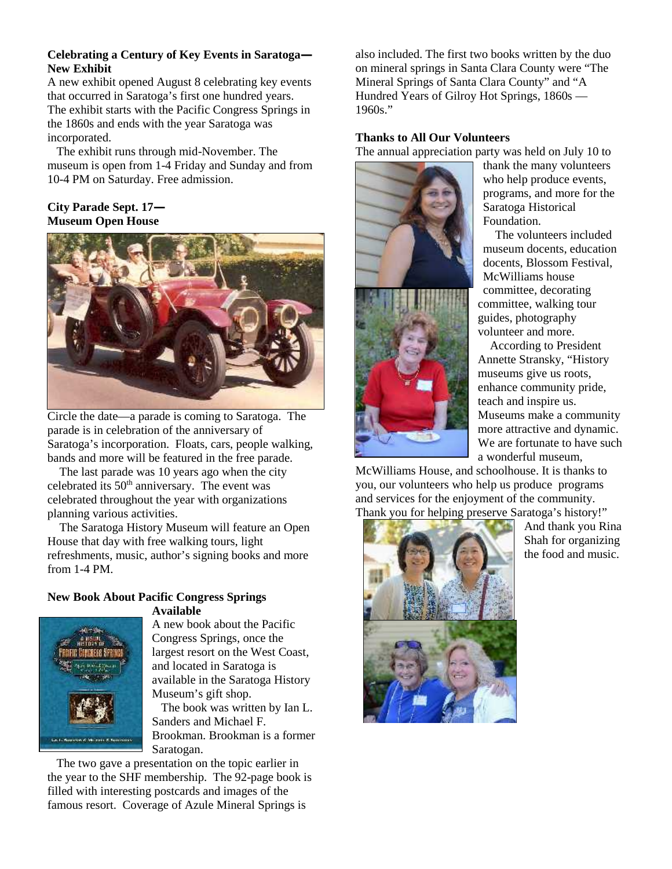## **Celebrating a Century of Key Events in Saratoga— New Exhibit**

A new exhibit opened August 8 celebrating key events that occurred in Saratoga's first one hundred years. The exhibit starts with the Pacific Congress Springs in the 1860s and ends with the year Saratoga was incorporated.

The exhibit runs through mid-November. The museum is open from 1-4 Friday and Sunday and from 10-4 PM on Saturday. Free admission.

## **City Parade Sept. 17— Museum Open House**



Circle the date—a parade is coming to Saratoga. The parade is in celebration of the anniversary of Saratoga's incorporation. Floats, cars, people walking, bands and more will be featured in the free parade.

The last parade was 10 years ago when the city celebrated its 50th anniversary. The event was celebrated throughout the year with organizations planning various activities.

The Saratoga History Museum will feature an Open House that day with free walking tours, light refreshments, music, author's signing books and more from 1-4 PM.

#### **New Book About Pacific Congress Springs Available**



A new book about the Pacific Congress Springs, once the largest resort on the West Coast, and located in Saratoga is available in the Saratoga History Museum's gift shop.

The book was written by Ian L. Sanders and Michael F. Brookman. Brookman is a former Saratogan.

The two gave a presentation on the topic earlier in the year to the SHF membership. The 92-page book is filled with interesting postcards and images of the famous resort. Coverage of Azule Mineral Springs is

also included. The first two books written by the duo on mineral springs in Santa Clara County were "The Mineral Springs of Santa Clara County" and "A Hundred Years of Gilroy Hot Springs, 1860s — 1960s."

#### **Thanks to All Our Volunteers**

The annual appreciation party was held on July 10 to



thank the many volunteers who help produce events, programs, and more for the Saratoga Historical Foundation.

The volunteers included museum docents, education docents, Blossom Festival, McWilliams house committee, decorating committee, walking tour guides, photography volunteer and more.

According to President Annette Stransky, "History museums give us roots, enhance community pride, teach and inspire us. Museums make a community more attractive and dynamic. We are fortunate to have such a wonderful museum,

McWilliams House, and schoolhouse. It is thanks to you, our volunteers who help us produce programs and services for the enjoyment of the community. Thank you for helping preserve Saratoga's history!"



And thank you Rina Shah for organizing the food and music.